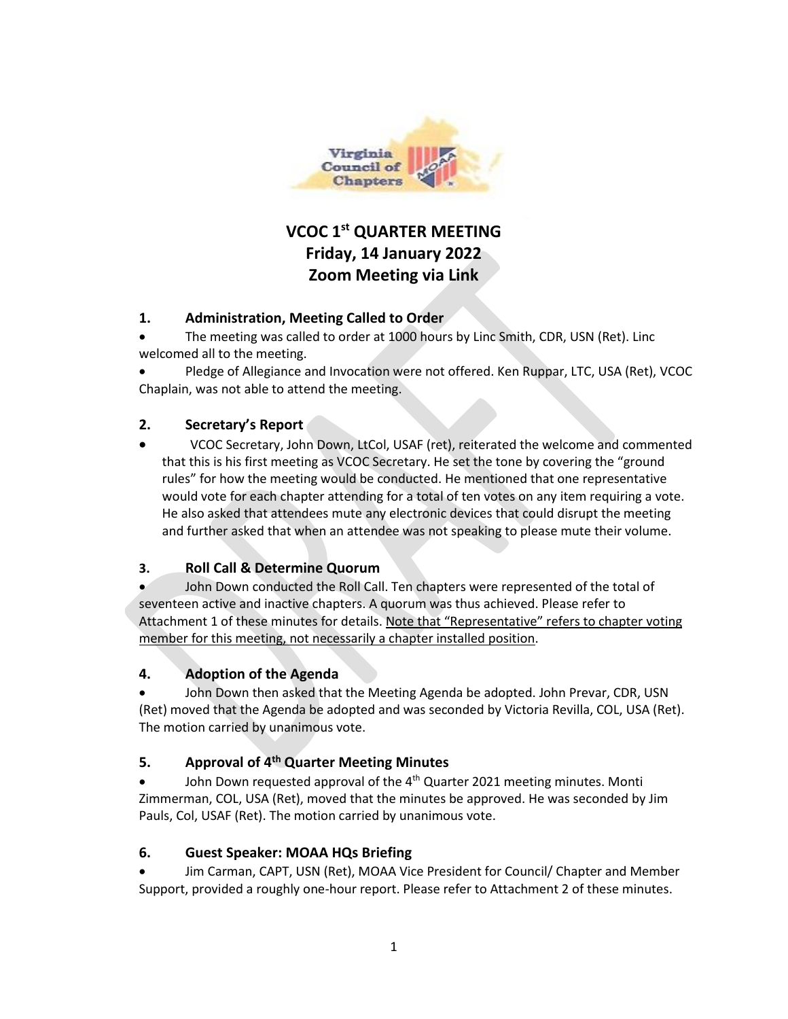

# **VCOC 1st QUARTER MEETING Friday, 14 January 2022 Zoom Meeting via Link**

## **1. Administration, Meeting Called to Order**

- The meeting was called to order at 1000 hours by Linc Smith, CDR, USN (Ret). Linc welcomed all to the meeting.
- Pledge of Allegiance and Invocation were not offered. Ken Ruppar, LTC, USA (Ret), VCOC Chaplain, was not able to attend the meeting.

### **2. Secretary's Report**

•VCOC Secretary, John Down, LtCol, USAF (ret), reiterated the welcome and commented that this is his first meeting as VCOC Secretary. He set the tone by covering the "ground rules" for how the meeting would be conducted. He mentioned that one representative would vote for each chapter attending for a total of ten votes on any item requiring a vote. He also asked that attendees mute any electronic devices that could disrupt the meeting and further asked that when an attendee was not speaking to please mute their volume.

## **3. Roll Call & Determine Quorum**

John Down conducted the Roll Call. Ten chapters were represented of the total of seventeen active and inactive chapters. A quorum was thus achieved. Please refer to Attachment 1 of these minutes for details. Note that "Representative" refers to chapter voting member for this meeting, not necessarily a chapter installed position.

#### **4. Adoption of the Agenda**

• John Down then asked that the Meeting Agenda be adopted. John Prevar, CDR, USN (Ret) moved that the Agenda be adopted and was seconded by Victoria Revilla, COL, USA (Ret). The motion carried by unanimous vote.

#### **5. Approval of 4th Quarter Meeting Minutes**

John Down requested approval of the 4<sup>th</sup> Quarter 2021 meeting minutes. Monti Zimmerman, COL, USA (Ret), moved that the minutes be approved. He was seconded by Jim Pauls, Col, USAF (Ret). The motion carried by unanimous vote.

#### **6. Guest Speaker: MOAA HQs Briefing**

• Jim Carman, CAPT, USN (Ret), MOAA Vice President for Council/ Chapter and Member Support, provided a roughly one-hour report. Please refer to Attachment 2 of these minutes.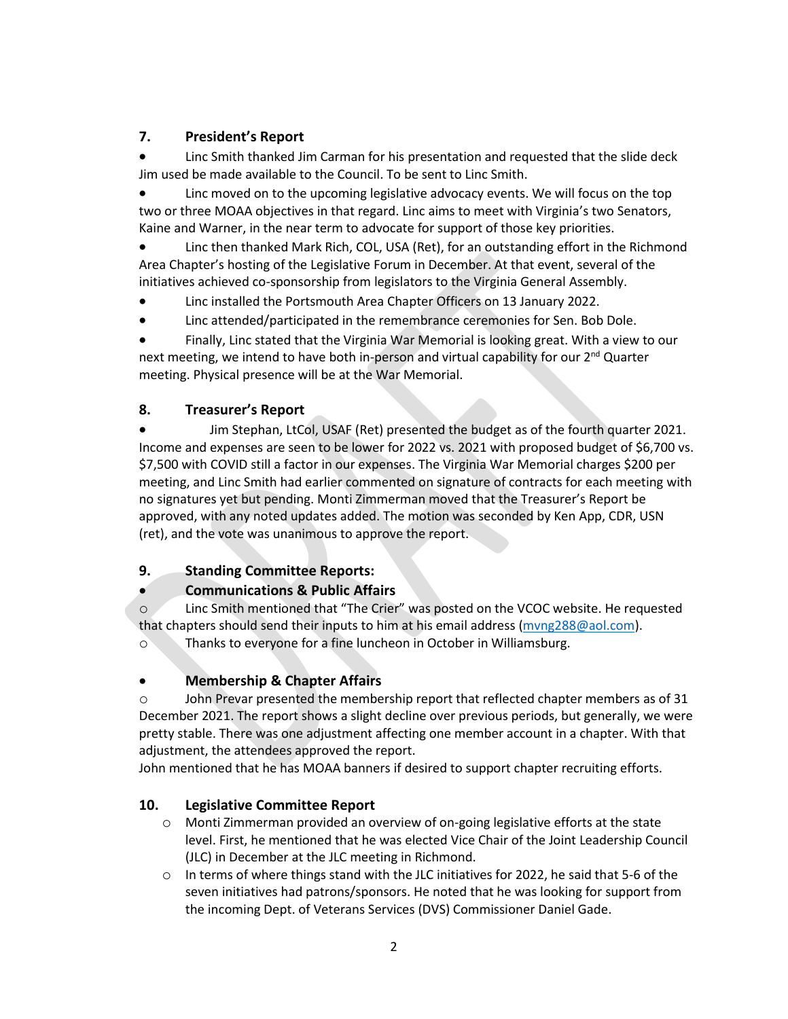# **7. President's Report**

• Linc Smith thanked Jim Carman for his presentation and requested that the slide deck Jim used be made available to the Council. To be sent to Linc Smith.

• Linc moved on to the upcoming legislative advocacy events. We will focus on the top two or three MOAA objectives in that regard. Linc aims to meet with Virginia's two Senators, Kaine and Warner, in the near term to advocate for support of those key priorities.

• Linc then thanked Mark Rich, COL, USA (Ret), for an outstanding effort in the Richmond Area Chapter's hosting of the Legislative Forum in December. At that event, several of the initiatives achieved co-sponsorship from legislators to the Virginia General Assembly.

- Linc installed the Portsmouth Area Chapter Officers on 13 January 2022.
- Linc attended/participated in the remembrance ceremonies for Sen. Bob Dole.

• Finally, Linc stated that the Virginia War Memorial is looking great. With a view to our next meeting, we intend to have both in-person and virtual capability for our  $2^{nd}$  Quarter meeting. Physical presence will be at the War Memorial.

### **8. Treasurer's Report**

•Jim Stephan, LtCol, USAF (Ret) presented the budget as of the fourth quarter 2021. Income and expenses are seen to be lower for 2022 vs. 2021 with proposed budget of \$6,700 vs. \$7,500 with COVID still a factor in our expenses. The Virginia War Memorial charges \$200 per meeting, and Linc Smith had earlier commented on signature of contracts for each meeting with no signatures yet but pending. Monti Zimmerman moved that the Treasurer's Report be approved, with any noted updates added. The motion was seconded by Ken App, CDR, USN (ret), and the vote was unanimous to approve the report.

## **9. Standing Committee Reports:**

## • **Communications & Public Affairs**

o Linc Smith mentioned that "The Crier" was posted on the VCOC website. He requested that chapters should send their inputs to him at his email address (myng288@aol.com).

o Thanks to everyone for a fine luncheon in October in Williamsburg.

## • **Membership & Chapter Affairs**

o John Prevar presented the membership report that reflected chapter members as of 31 December 2021. The report shows a slight decline over previous periods, but generally, we were pretty stable. There was one adjustment affecting one member account in a chapter. With that adjustment, the attendees approved the report.

John mentioned that he has MOAA banners if desired to support chapter recruiting efforts.

## **10. Legislative Committee Report**

- o Monti Zimmerman provided an overview of on-going legislative efforts at the state level. First, he mentioned that he was elected Vice Chair of the Joint Leadership Council (JLC) in December at the JLC meeting in Richmond.
- o In terms of where things stand with the JLC initiatives for 2022, he said that 5-6 of the seven initiatives had patrons/sponsors. He noted that he was looking for support from the incoming Dept. of Veterans Services (DVS) Commissioner Daniel Gade.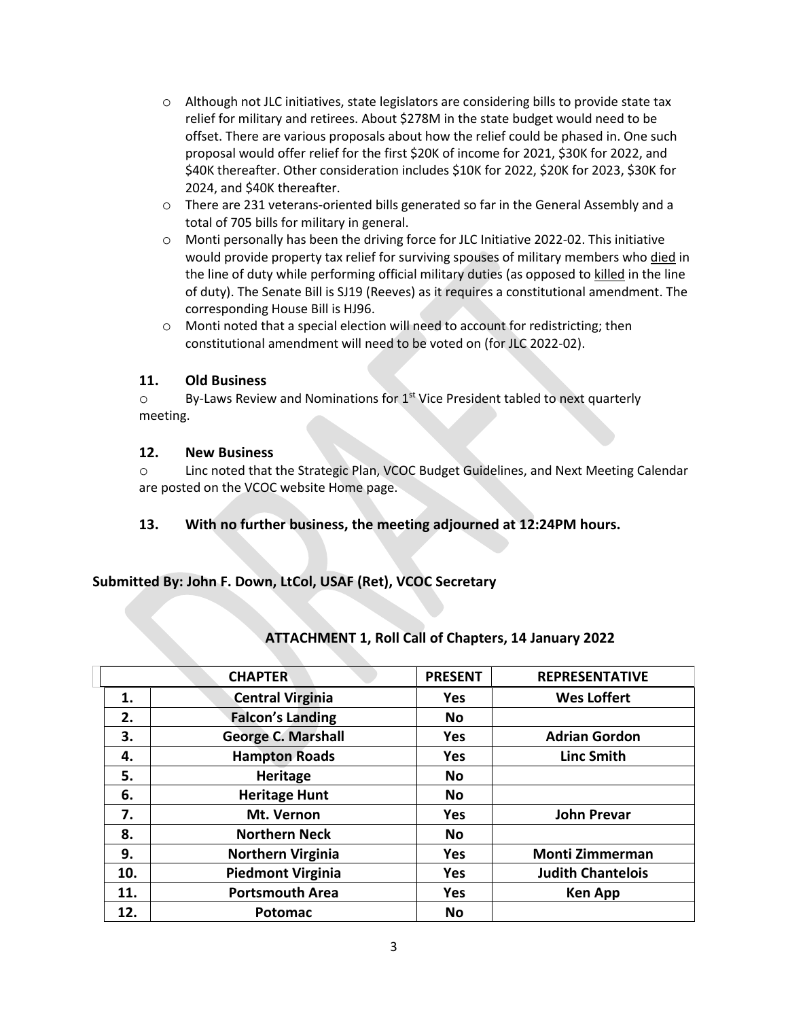- o Although not JLC initiatives, state legislators are considering bills to provide state tax relief for military and retirees. About \$278M in the state budget would need to be offset. There are various proposals about how the relief could be phased in. One such proposal would offer relief for the first \$20K of income for 2021, \$30K for 2022, and \$40K thereafter. Other consideration includes \$10K for 2022, \$20K for 2023, \$30K for 2024, and \$40K thereafter.
- o There are 231 veterans-oriented bills generated so far in the General Assembly and a total of 705 bills for military in general.
- o Monti personally has been the driving force for JLC Initiative 2022-02. This initiative would provide property tax relief for surviving spouses of military members who died in the line of duty while performing official military duties (as opposed to killed in the line of duty). The Senate Bill is SJ19 (Reeves) as it requires a constitutional amendment. The corresponding House Bill is HJ96.
- $\circ$  Monti noted that a special election will need to account for redistricting; then constitutional amendment will need to be voted on (for JLC 2022-02).

#### **11. Old Business**

 $\circ$  By-Laws Review and Nominations for 1<sup>st</sup> Vice President tabled to next quarterly meeting.

#### **12. New Business**

o Linc noted that the Strategic Plan, VCOC Budget Guidelines, and Next Meeting Calendar are posted on the VCOC website Home page.

**13. With no further business, the meeting adjourned at 12:24PM hours.**

#### **Submitted By: John F. Down, LtCol, USAF (Ret), VCOC Secretary**

|     | <b>CHAPTER</b>            | <b>PRESENT</b> | <b>REPRESENTATIVE</b>    |
|-----|---------------------------|----------------|--------------------------|
| 1.  | <b>Central Virginia</b>   | <b>Yes</b>     | <b>Wes Loffert</b>       |
| 2.  | <b>Falcon's Landing</b>   | <b>No</b>      |                          |
| 3.  | <b>George C. Marshall</b> | <b>Yes</b>     | <b>Adrian Gordon</b>     |
| 4.  | <b>Hampton Roads</b>      | <b>Yes</b>     | <b>Linc Smith</b>        |
| 5.  | <b>Heritage</b>           | <b>No</b>      |                          |
| 6.  | <b>Heritage Hunt</b>      | <b>No</b>      |                          |
| 7.  | Mt. Vernon                | <b>Yes</b>     | <b>John Prevar</b>       |
| 8.  | <b>Northern Neck</b>      | <b>No</b>      |                          |
| 9.  | <b>Northern Virginia</b>  | <b>Yes</b>     | <b>Monti Zimmerman</b>   |
| 10. | <b>Piedmont Virginia</b>  | <b>Yes</b>     | <b>Judith Chantelois</b> |
| 11. | <b>Portsmouth Area</b>    | <b>Yes</b>     | <b>Ken App</b>           |
| 12. | Potomac                   | <b>No</b>      |                          |

## **ATTACHMENT 1, Roll Call of Chapters, 14 January 2022**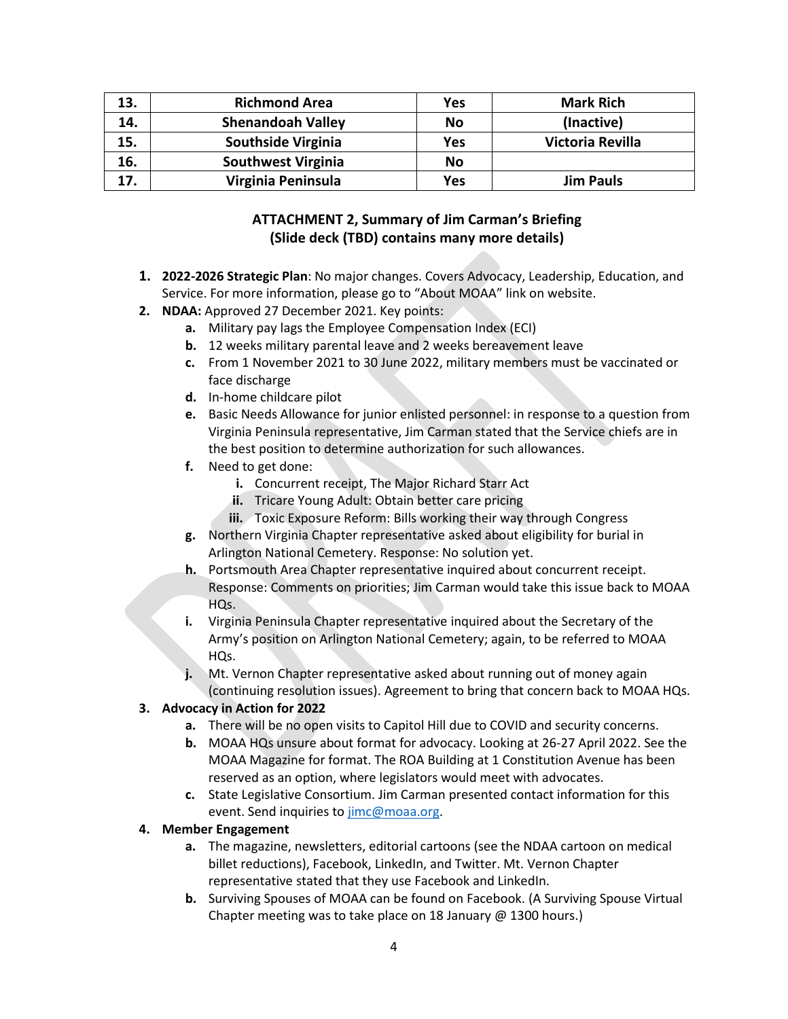| 13. | <b>Richmond Area</b>      | Yes | <b>Mark Rich</b> |
|-----|---------------------------|-----|------------------|
| 14. | <b>Shenandoah Valley</b>  | No  | (Inactive)       |
| 15. | <b>Southside Virginia</b> | Yes | Victoria Revilla |
| 16. | <b>Southwest Virginia</b> | No  |                  |
| 17. | Virginia Peninsula        | Yes | <b>Jim Pauls</b> |

# **ATTACHMENT 2, Summary of Jim Carman's Briefing (Slide deck (TBD) contains many more details)**

- **1. 2022-2026 Strategic Plan**: No major changes. Covers Advocacy, Leadership, Education, and Service. For more information, please go to "About MOAA" link on website.
- **2. NDAA:** Approved 27 December 2021. Key points:
	- **a.** Military pay lags the Employee Compensation Index (ECI)
	- **b.** 12 weeks military parental leave and 2 weeks bereavement leave
	- **c.** From 1 November 2021 to 30 June 2022, military members must be vaccinated or face discharge
	- **d.** In-home childcare pilot
	- **e.** Basic Needs Allowance for junior enlisted personnel: in response to a question from Virginia Peninsula representative, Jim Carman stated that the Service chiefs are in the best position to determine authorization for such allowances.
	- **f.** Need to get done:
		- **i.** Concurrent receipt, The Major Richard Starr Act
		- **ii.** Tricare Young Adult: Obtain better care pricing
		- **iii.** Toxic Exposure Reform: Bills working their way through Congress
	- **g.** Northern Virginia Chapter representative asked about eligibility for burial in Arlington National Cemetery. Response: No solution yet.
	- **h.** Portsmouth Area Chapter representative inquired about concurrent receipt. Response: Comments on priorities; Jim Carman would take this issue back to MOAA HO<sub>s</sub>.
	- **i.** Virginia Peninsula Chapter representative inquired about the Secretary of the Army's position on Arlington National Cemetery; again, to be referred to MOAA HQs.
	- **j.** Mt. Vernon Chapter representative asked about running out of money again (continuing resolution issues). Agreement to bring that concern back to MOAA HQs.

#### **3. Advocacy in Action for 2022**

- **a.** There will be no open visits to Capitol Hill due to COVID and security concerns.
- **b.** MOAA HQs unsure about format for advocacy. Looking at 26-27 April 2022. See the MOAA Magazine for format. The ROA Building at 1 Constitution Avenue has been reserved as an option, where legislators would meet with advocates.
- **c.** State Legislative Consortium. Jim Carman presented contact information for this event. Send inquiries to jimc@moaa.org.

#### **4. Member Engagement**

- **a.** The magazine, newsletters, editorial cartoons (see the NDAA cartoon on medical billet reductions), Facebook, LinkedIn, and Twitter. Mt. Vernon Chapter representative stated that they use Facebook and LinkedIn.
- **b.** Surviving Spouses of MOAA can be found on Facebook. (A Surviving Spouse Virtual Chapter meeting was to take place on 18 January @ 1300 hours.)